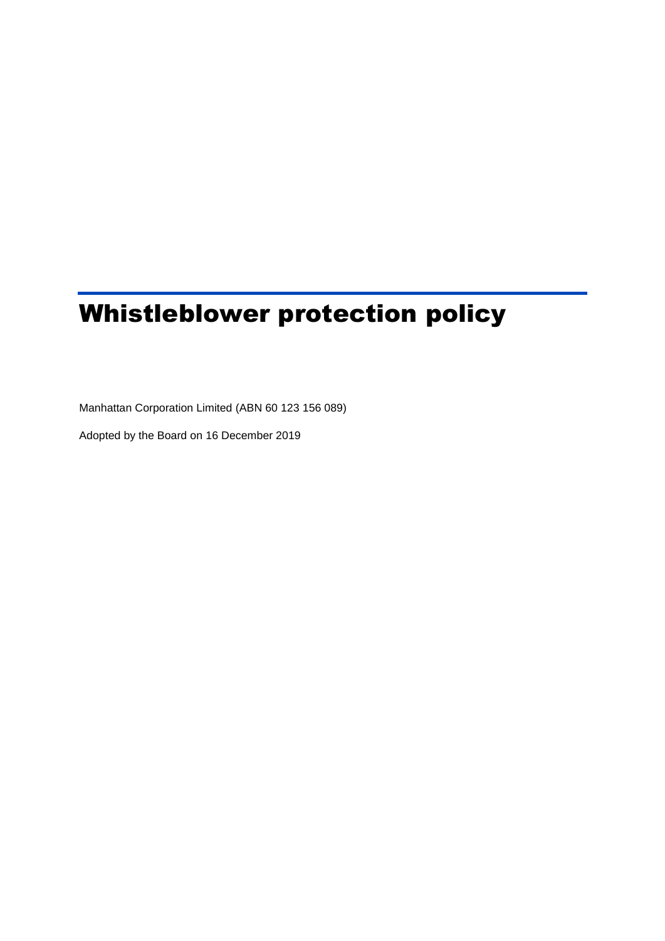# Whistleblower protection policy

Manhattan Corporation Limited (ABN 60 123 156 089)

Adopted by the Board on 16 December 2019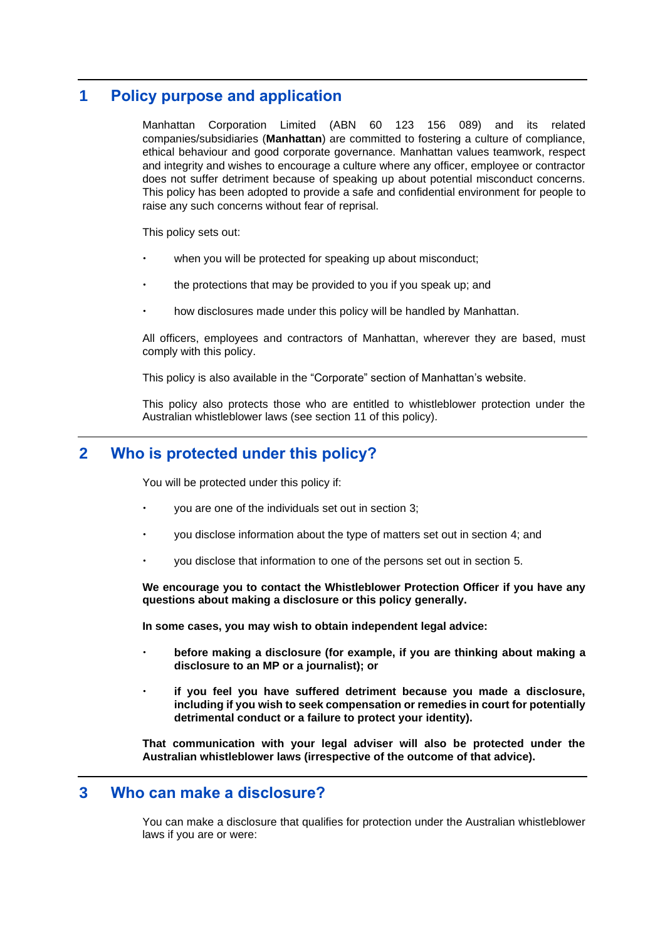# **1 Policy purpose and application**

Manhattan Corporation Limited (ABN 60 123 156 089) and its related companies/subsidiaries (**Manhattan**) are committed to fostering a culture of compliance, ethical behaviour and good corporate governance. Manhattan values teamwork, respect and integrity and wishes to encourage a culture where any officer, employee or contractor does not suffer detriment because of speaking up about potential misconduct concerns. This policy has been adopted to provide a safe and confidential environment for people to raise any such concerns without fear of reprisal.

This policy sets out:

- when you will be protected for speaking up about misconduct;
- the protections that may be provided to you if you speak up; and
- how disclosures made under this policy will be handled by Manhattan.

All officers, employees and contractors of Manhattan, wherever they are based, must comply with this policy.

This policy is also available in the "Corporate" section of Manhattan's website.

This policy also protects those who are entitled to whistleblower protection under the Australian whistleblower laws (see section [11](#page-7-0) of this policy).

# **2 Who is protected under this policy?**

You will be protected under this policy if:

- you are one of the individuals set out in section [3;](#page-1-0)
- you disclose information about the type of matters set out in section [4;](#page-2-0) and
- you disclose that information to one of the persons set out in section [5.](#page-3-0)

**We encourage you to contact the Whistleblower Protection Officer if you have any questions about making a disclosure or this policy generally.**

**In some cases, you may wish to obtain independent legal advice:**

- **before making a disclosure (for example, if you are thinking about making a disclosure to an MP or a journalist); or**
- **if you feel you have suffered detriment because you made a disclosure, including if you wish to seek compensation or remedies in court for potentially detrimental conduct or a failure to protect your identity).**

**That communication with your legal adviser will also be protected under the Australian whistleblower laws (irrespective of the outcome of that advice).** 

## <span id="page-1-0"></span>**3 Who can make a disclosure?**

You can make a disclosure that qualifies for protection under the Australian whistleblower laws if you are or were: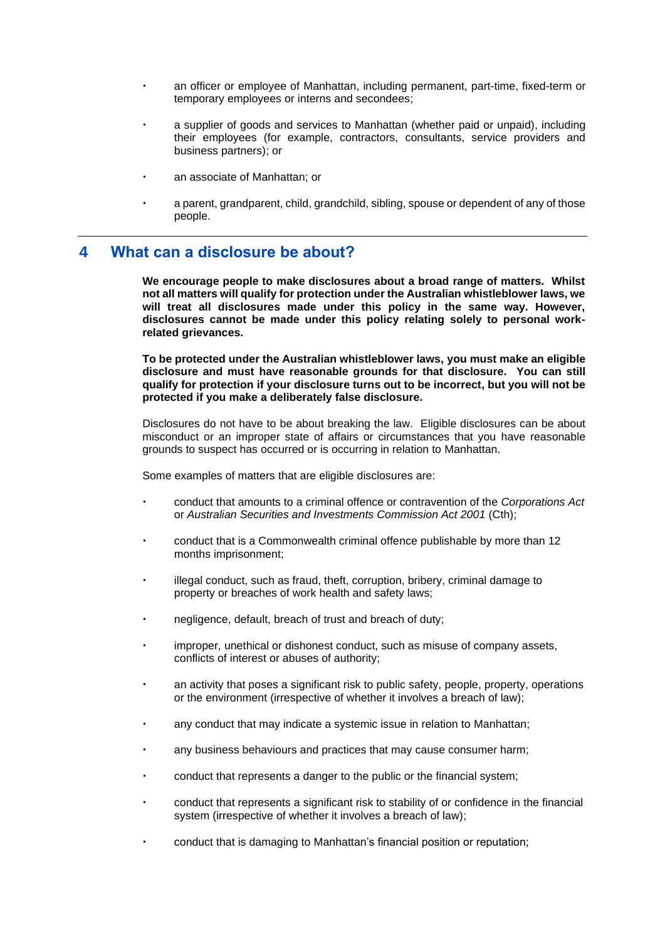- an officer or employee of Manhattan, including permanent, part-time, fixed-term or temporary employees or interns and secondees;
- a supplier of goods and services to Manhattan (whether paid or unpaid), including their employees (for example, contractors, consultants, service providers and business partners); or
- an associate of Manhattan; or
- a parent, grandparent, child, grandchild, sibling, spouse or dependent of any of those people.

## <span id="page-2-0"></span>**4 What can a disclosure be about?**

**We encourage people to make disclosures about a broad range of matters. Whilst not all matters will qualify for protection under the Australian whistleblower laws, we will treat all disclosures made under this policy in the same way. However, disclosures cannot be made under this policy relating solely to personal workrelated grievances.**

**To be protected under the Australian whistleblower laws, you must make an eligible disclosure and must have reasonable grounds for that disclosure. You can still qualify for protection if your disclosure turns out to be incorrect, but you will not be protected if you make a deliberately false disclosure.**

Disclosures do not have to be about breaking the law. Eligible disclosures can be about misconduct or an improper state of affairs or circumstances that you have reasonable grounds to suspect has occurred or is occurring in relation to Manhattan.

Some examples of matters that are eligible disclosures are:

- conduct that amounts to a criminal offence or contravention of the *Corporations Act* or *Australian Securities and Investments Commission Act 2001* (Cth);
- conduct that is a Commonwealth criminal offence publishable by more than 12 months imprisonment;
- illegal conduct, such as fraud, theft, corruption, bribery, criminal damage to property or breaches of work health and safety laws;
- negligence, default, breach of trust and breach of duty;
- improper, unethical or dishonest conduct, such as misuse of company assets, conflicts of interest or abuses of authority;
- an activity that poses a significant risk to public safety, people, property, operations or the environment (irrespective of whether it involves a breach of law);
- any conduct that may indicate a systemic issue in relation to Manhattan;
- any business behaviours and practices that may cause consumer harm;
- conduct that represents a danger to the public or the financial system;
- conduct that represents a significant risk to stability of or confidence in the financial system (irrespective of whether it involves a breach of law);
- conduct that is damaging to Manhattan's financial position or reputation;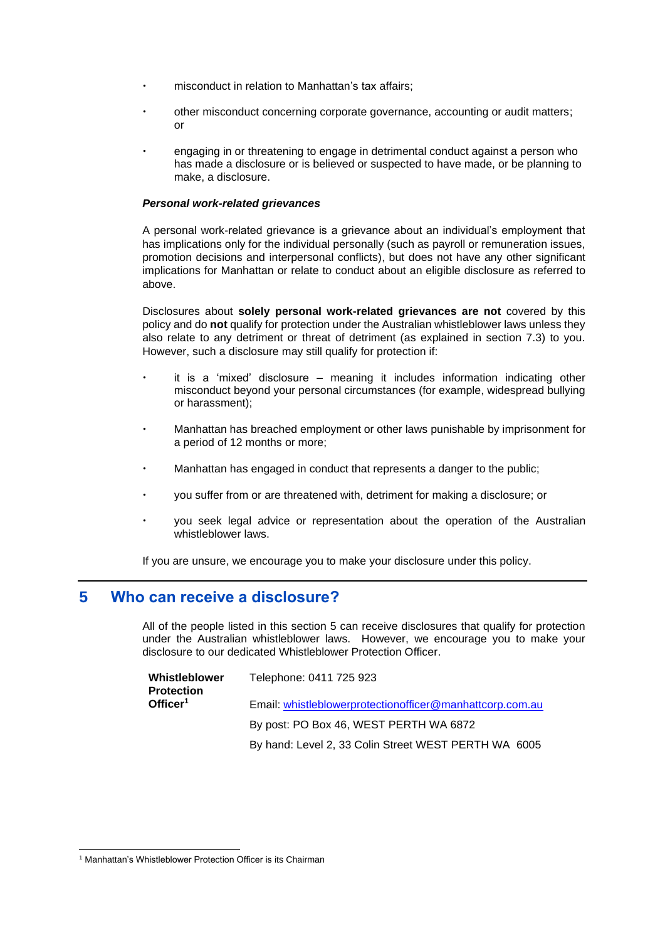- misconduct in relation to Manhattan's tax affairs;
- other misconduct concerning corporate governance, accounting or audit matters; or
- engaging in or threatening to engage in detrimental conduct against a person who has made a disclosure or is believed or suspected to have made, or be planning to make, a disclosure.

#### *Personal work-related grievances*

A personal work-related grievance is a grievance about an individual's employment that has implications only for the individual personally (such as payroll or remuneration issues, promotion decisions and interpersonal conflicts), but does not have any other significant implications for Manhattan or relate to conduct about an eligible disclosure as referred to above.

Disclosures about **solely personal work-related grievances are not** covered by this policy and do **not** qualify for protection under the Australian whistleblower laws unless they also relate to any detriment or threat of detriment (as explained in section 7.3) to you. However, such a disclosure may still qualify for protection if:

- it is a 'mixed' disclosure meaning it includes information indicating other misconduct beyond your personal circumstances (for example, widespread bullying or harassment);
- Manhattan has breached employment or other laws punishable by imprisonment for a period of 12 months or more;
- Manhattan has engaged in conduct that represents a danger to the public;
- you suffer from or are threatened with, detriment for making a disclosure; or
- you seek legal advice or representation about the operation of the Australian whistleblower laws.

If you are unsure, we encourage you to make your disclosure under this policy.

# <span id="page-3-0"></span>**5 Who can receive a disclosure?**

All of the people listed in this section 5 can receive disclosures that qualify for protection under the Australian whistleblower laws. However, we encourage you to make your disclosure to our dedicated Whistleblower Protection Officer.

| Whistleblower<br><b>Protection</b> | Telephone: 0411 725 923                                   |
|------------------------------------|-----------------------------------------------------------|
| Officer <sup>1</sup>               | Email: whistleblowerprotection officer@manhattcorp.com.au |
|                                    | By post: PO Box 46, WEST PERTH WA 6872                    |
|                                    | By hand: Level 2, 33 Colin Street WEST PERTH WA 6005      |

<sup>&</sup>lt;sup>1</sup> Manhattan's Whistleblower Protection Officer is its Chairman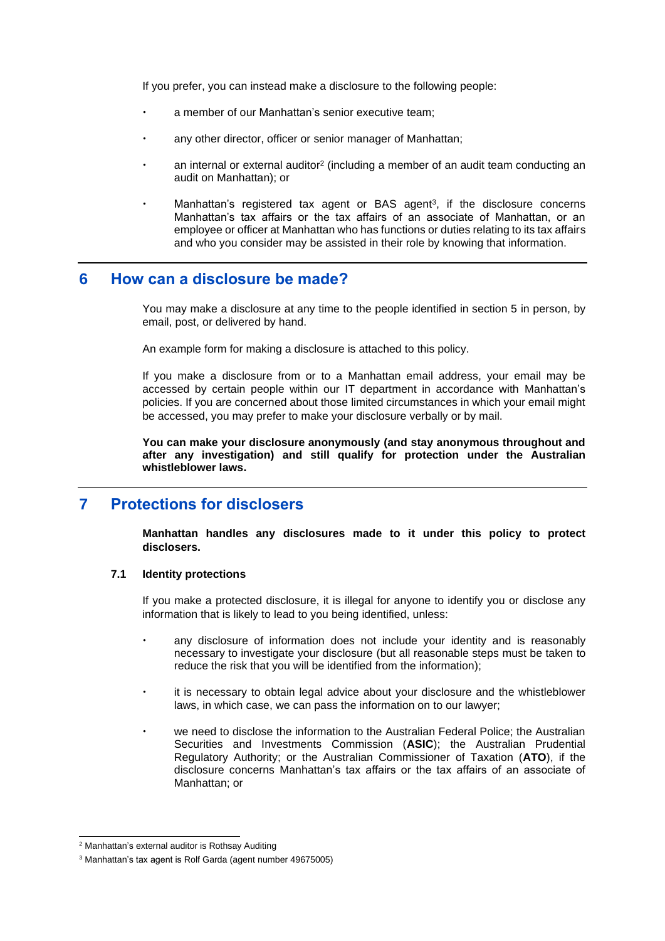If you prefer, you can instead make a disclosure to the following people:

- a member of our Manhattan's senior executive team;
- any other director, officer or senior manager of Manhattan;
- an internal or external auditor<sup>2</sup> (including a member of an audit team conducting an audit on Manhattan); or
- Manhattan's registered tax agent or BAS agent<sup>3</sup>, if the disclosure concerns Manhattan's tax affairs or the tax affairs of an associate of Manhattan, or an employee or officer at Manhattan who has functions or duties relating to its tax affairs and who you consider may be assisted in their role by knowing that information.

## **6 How can a disclosure be made?**

You may make a disclosure at any time to the people identified in section 5 in person, by email, post, or delivered by hand.

An example form for making a disclosure is attached to this policy.

If you make a disclosure from or to a Manhattan email address, your email may be accessed by certain people within our IT department in accordance with Manhattan's policies. If you are concerned about those limited circumstances in which your email might be accessed, you may prefer to make your disclosure verbally or by mail.

**You can make your disclosure anonymously (and stay anonymous throughout and after any investigation) and still qualify for protection under the Australian whistleblower laws.**

# **7 Protections for disclosers**

**Manhattan handles any disclosures made to it under this policy to protect disclosers.**

#### **7.1 Identity protections**

If you make a protected disclosure, it is illegal for anyone to identify you or disclose any information that is likely to lead to you being identified, unless:

- any disclosure of information does not include your identity and is reasonably necessary to investigate your disclosure (but all reasonable steps must be taken to reduce the risk that you will be identified from the information);
- it is necessary to obtain legal advice about your disclosure and the whistleblower laws, in which case, we can pass the information on to our lawyer;
- we need to disclose the information to the Australian Federal Police; the Australian Securities and Investments Commission (**ASIC**); the Australian Prudential Regulatory Authority; or the Australian Commissioner of Taxation (**ATO**), if the disclosure concerns Manhattan's tax affairs or the tax affairs of an associate of Manhattan; or

<sup>2</sup> Manhattan's external auditor is Rothsay Auditing

<sup>3</sup> Manhattan's tax agent is Rolf Garda (agent number 49675005)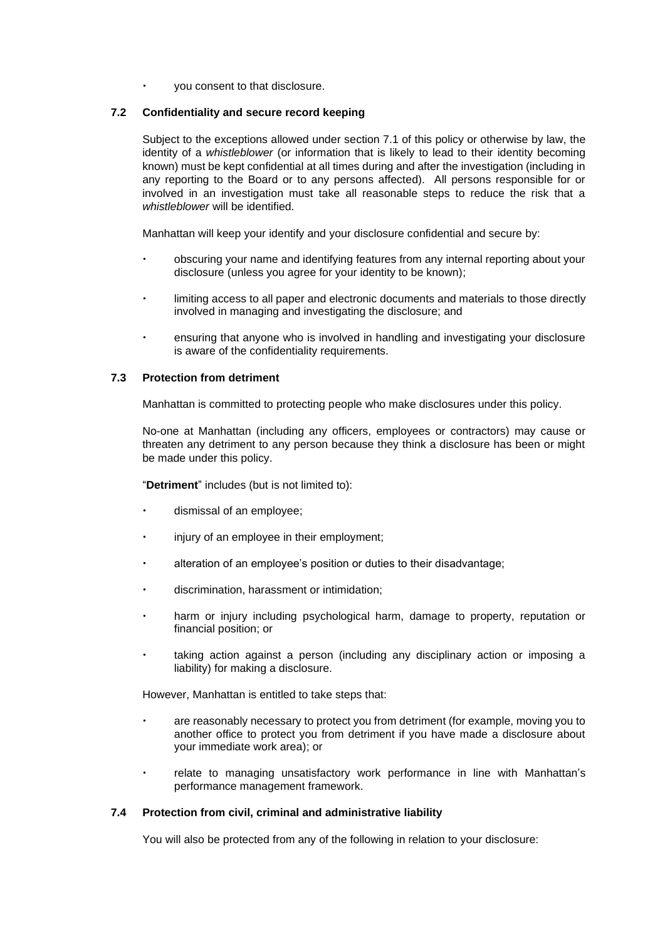you consent to that disclosure.

#### <span id="page-5-0"></span>**7.2 Confidentiality and secure record keeping**

Subject to the exceptions allowed under section 7.1 of this policy or otherwise by law, the identity of a *whistleblower* (or information that is likely to lead to their identity becoming known) must be kept confidential at all times during and after the investigation (including in any reporting to the Board or to any persons affected). All persons responsible for or involved in an investigation must take all reasonable steps to reduce the risk that a *whistleblower* will be identified.

Manhattan will keep your identify and your disclosure confidential and secure by:

- obscuring your name and identifying features from any internal reporting about your disclosure (unless you agree for your identity to be known);
- limiting access to all paper and electronic documents and materials to those directly involved in managing and investigating the disclosure; and
- ensuring that anyone who is involved in handling and investigating your disclosure is aware of the confidentiality requirements.

#### **7.3 Protection from detriment**

Manhattan is committed to protecting people who make disclosures under this policy.

No-one at Manhattan (including any officers, employees or contractors) may cause or threaten any detriment to any person because they think a disclosure has been or might be made under this policy.

"**Detriment**" includes (but is not limited to):

- dismissal of an employee;
- injury of an employee in their employment;
- alteration of an employee's position or duties to their disadvantage;
- discrimination, harassment or intimidation;
- harm or injury including psychological harm, damage to property, reputation or financial position; or
- taking action against a person (including any disciplinary action or imposing a liability) for making a disclosure.

However, Manhattan is entitled to take steps that:

- are reasonably necessary to protect you from detriment (for example, moving you to another office to protect you from detriment if you have made a disclosure about your immediate work area); or
- relate to managing unsatisfactory work performance in line with Manhattan's performance management framework.

#### **7.4 Protection from civil, criminal and administrative liability**

You will also be protected from any of the following in relation to your disclosure: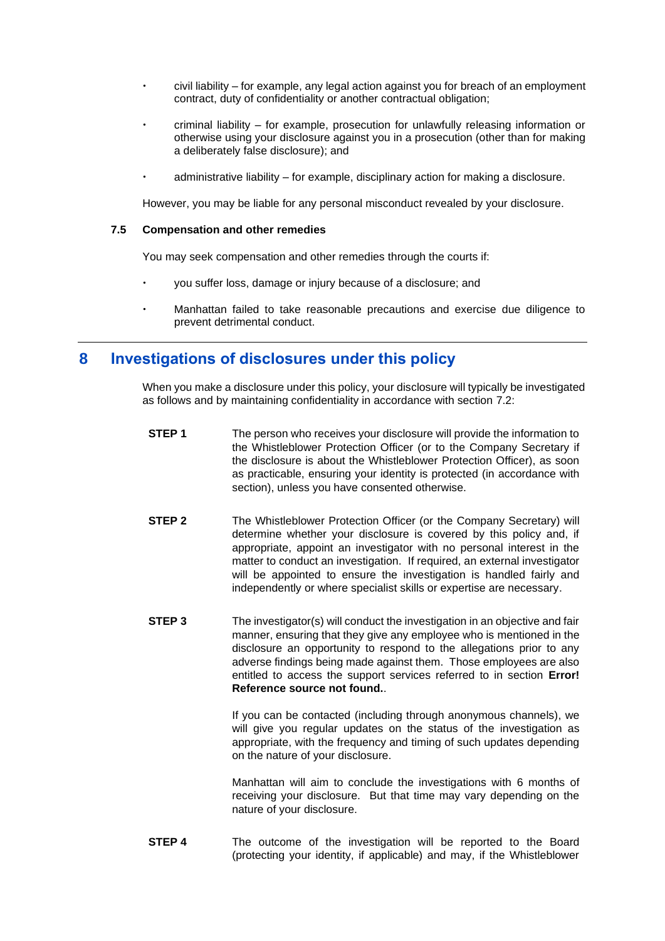- civil liability for example, any legal action against you for breach of an employment contract, duty of confidentiality or another contractual obligation;
- criminal liability for example, prosecution for unlawfully releasing information or otherwise using your disclosure against you in a prosecution (other than for making a deliberately false disclosure); and
- administrative liability for example, disciplinary action for making a disclosure.

However, you may be liable for any personal misconduct revealed by your disclosure.

#### **7.5 Compensation and other remedies**

You may seek compensation and other remedies through the courts if:

- you suffer loss, damage or injury because of a disclosure; and
- Manhattan failed to take reasonable precautions and exercise due diligence to prevent detrimental conduct.

# **8 Investigations of disclosures under this policy**

When you make a disclosure under this policy, your disclosure will typically be investigated as follows and by maintaining confidentiality in accordance with section [7.2:](#page-5-0)

- **STEP 1** The person who receives your disclosure will provide the information to the Whistleblower Protection Officer (or to the Company Secretary if the disclosure is about the Whistleblower Protection Officer), as soon as practicable, ensuring your identity is protected (in accordance with section), unless you have consented otherwise.
- **STEP 2** The Whistleblower Protection Officer (or the Company Secretary) will determine whether your disclosure is covered by this policy and, if appropriate, appoint an investigator with no personal interest in the matter to conduct an investigation. If required, an external investigator will be appointed to ensure the investigation is handled fairly and independently or where specialist skills or expertise are necessary.
- **STEP 3** The investigator(s) will conduct the investigation in an objective and fair manner, ensuring that they give any employee who is mentioned in the disclosure an opportunity to respond to the allegations prior to any adverse findings being made against them. Those employees are also entitled to access the support services referred to in section **Error! Reference source not found.**.

If you can be contacted (including through anonymous channels), we will give you regular updates on the status of the investigation as appropriate, with the frequency and timing of such updates depending on the nature of your disclosure.

Manhattan will aim to conclude the investigations with 6 months of receiving your disclosure. But that time may vary depending on the nature of your disclosure.

**STEP 4** The outcome of the investigation will be reported to the Board (protecting your identity, if applicable) and may, if the Whistleblower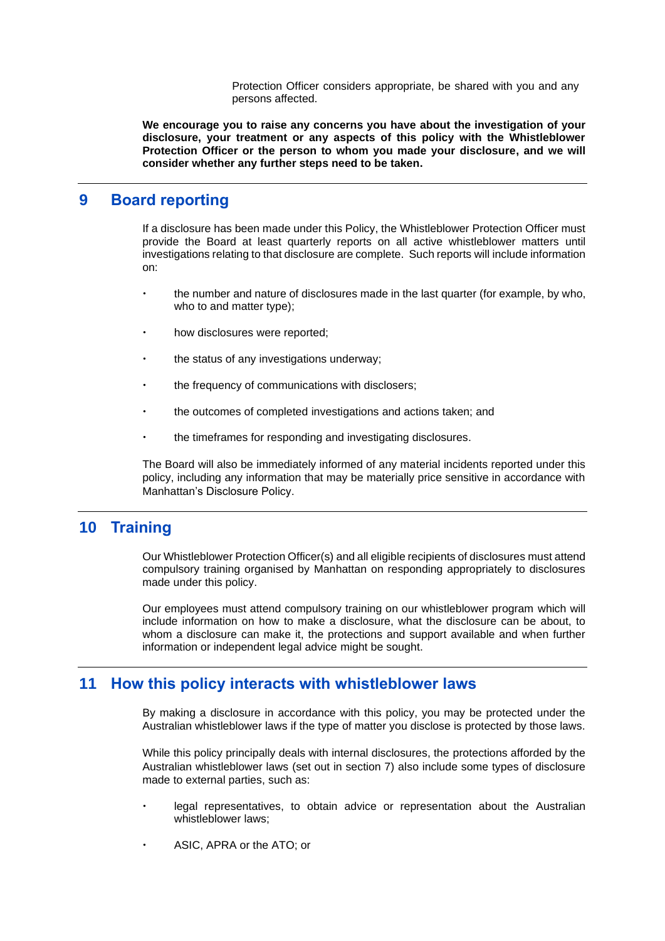Protection Officer considers appropriate, be shared with you and any persons affected.

**We encourage you to raise any concerns you have about the investigation of your disclosure, your treatment or any aspects of this policy with the Whistleblower Protection Officer or the person to whom you made your disclosure, and we will consider whether any further steps need to be taken.**

## **9 Board reporting**

If a disclosure has been made under this Policy, the Whistleblower Protection Officer must provide the Board at least quarterly reports on all active whistleblower matters until investigations relating to that disclosure are complete. Such reports will include information on:

- the number and nature of disclosures made in the last quarter (for example, by who, who to and matter type);
- how disclosures were reported;
- the status of any investigations underway;
- the frequency of communications with disclosers;
- the outcomes of completed investigations and actions taken; and
- the timeframes for responding and investigating disclosures.

The Board will also be immediately informed of any material incidents reported under this policy, including any information that may be materially price sensitive in accordance with Manhattan's Disclosure Policy.

## **10 Training**

Our Whistleblower Protection Officer(s) and all eligible recipients of disclosures must attend compulsory training organised by Manhattan on responding appropriately to disclosures made under this policy.

Our employees must attend compulsory training on our whistleblower program which will include information on how to make a disclosure, what the disclosure can be about, to whom a disclosure can make it, the protections and support available and when further information or independent legal advice might be sought.

## <span id="page-7-0"></span>**11 How this policy interacts with whistleblower laws**

By making a disclosure in accordance with this policy, you may be protected under the Australian whistleblower laws if the type of matter you disclose is protected by those laws.

While this policy principally deals with internal disclosures, the protections afforded by the Australian whistleblower laws (set out in section 7) also include some types of disclosure made to external parties, such as:

- legal representatives, to obtain advice or representation about the Australian whistleblower laws;
- ASIC, APRA or the ATO; or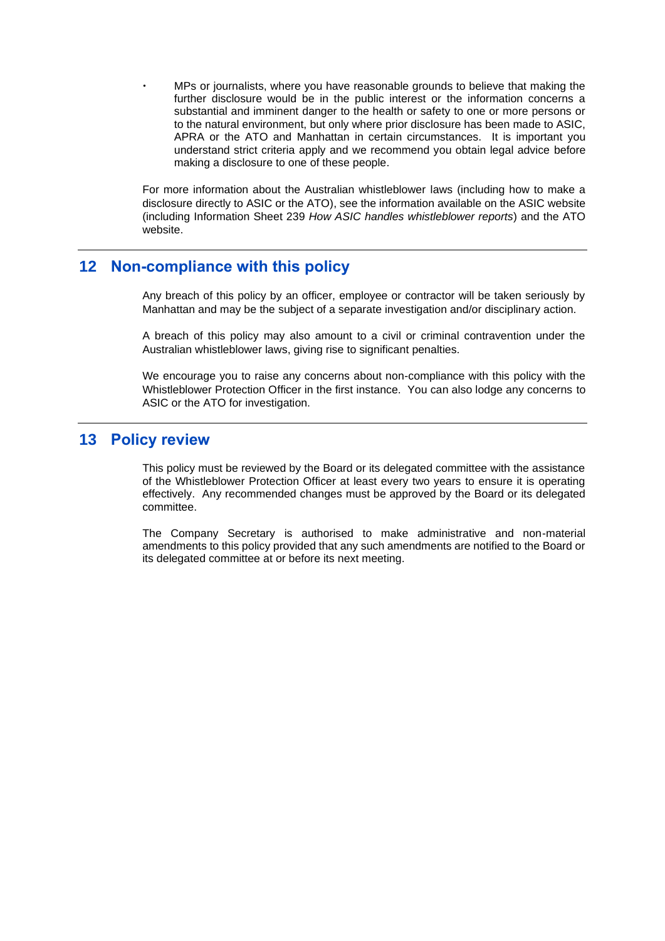MPs or journalists, where you have reasonable grounds to believe that making the further disclosure would be in the public interest or the information concerns a substantial and imminent danger to the health or safety to one or more persons or to the natural environment, but only where prior disclosure has been made to ASIC, APRA or the ATO and Manhattan in certain circumstances. It is important you understand strict criteria apply and we recommend you obtain legal advice before making a disclosure to one of these people.

For more information about the Australian whistleblower laws (including how to make a disclosure directly to ASIC or the ATO), see the information available on the ASIC website (including Information Sheet 239 *How ASIC handles whistleblower reports*) and the ATO website.

## **12 Non-compliance with this policy**

Any breach of this policy by an officer, employee or contractor will be taken seriously by Manhattan and may be the subject of a separate investigation and/or disciplinary action.

A breach of this policy may also amount to a civil or criminal contravention under the Australian whistleblower laws, giving rise to significant penalties.

We encourage you to raise any concerns about non-compliance with this policy with the Whistleblower Protection Officer in the first instance. You can also lodge any concerns to ASIC or the ATO for investigation.

### **13 Policy review**

This policy must be reviewed by the Board or its delegated committee with the assistance of the Whistleblower Protection Officer at least every two years to ensure it is operating effectively. Any recommended changes must be approved by the Board or its delegated committee.

The Company Secretary is authorised to make administrative and non-material amendments to this policy provided that any such amendments are notified to the Board or its delegated committee at or before its next meeting.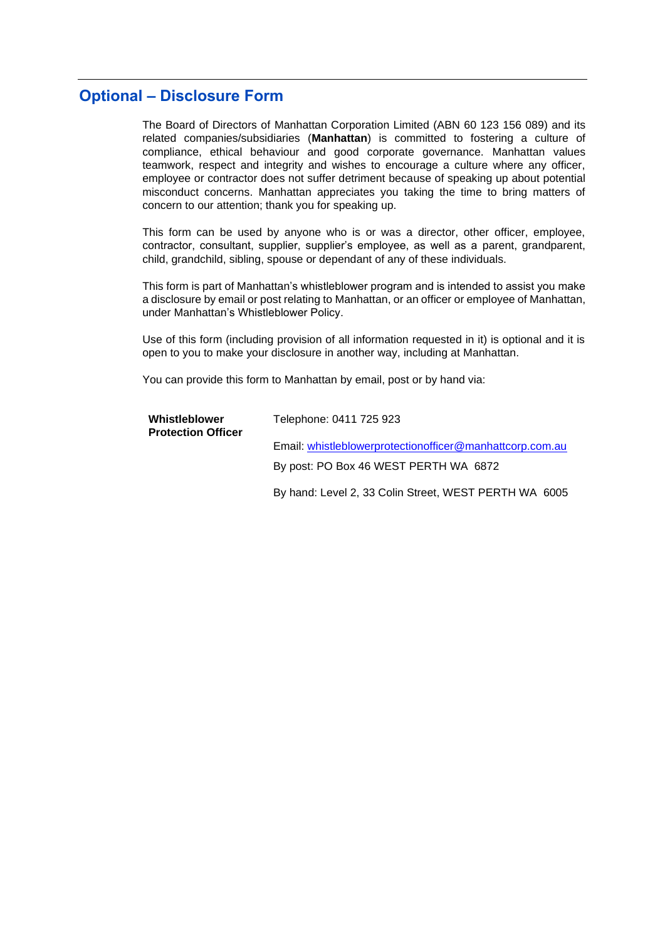# **Optional – Disclosure Form**

The Board of Directors of Manhattan Corporation Limited (ABN 60 123 156 089) and its related companies/subsidiaries (**Manhattan**) is committed to fostering a culture of compliance, ethical behaviour and good corporate governance. Manhattan values teamwork, respect and integrity and wishes to encourage a culture where any officer, employee or contractor does not suffer detriment because of speaking up about potential misconduct concerns. Manhattan appreciates you taking the time to bring matters of concern to our attention; thank you for speaking up.

This form can be used by anyone who is or was a director, other officer, employee, contractor, consultant, supplier, supplier's employee, as well as a parent, grandparent, child, grandchild, sibling, spouse or dependant of any of these individuals.

This form is part of Manhattan's whistleblower program and is intended to assist you make a disclosure by email or post relating to Manhattan, or an officer or employee of Manhattan, under Manhattan's Whistleblower Policy.

Use of this form (including provision of all information requested in it) is optional and it is open to you to make your disclosure in another way, including at Manhattan.

You can provide this form to Manhattan by email, post or by hand via:

| Whistleblower<br><b>Protection Officer</b> | Telephone: 0411 725 923                                   |  |
|--------------------------------------------|-----------------------------------------------------------|--|
|                                            | Email: whistleblowerprotection officer@manhattcorp.com.au |  |
|                                            | By post: PO Box 46 WEST PERTH WA 6872                     |  |
|                                            | By hand: Level 2, 33 Colin Street, WEST PERTH WA 6005     |  |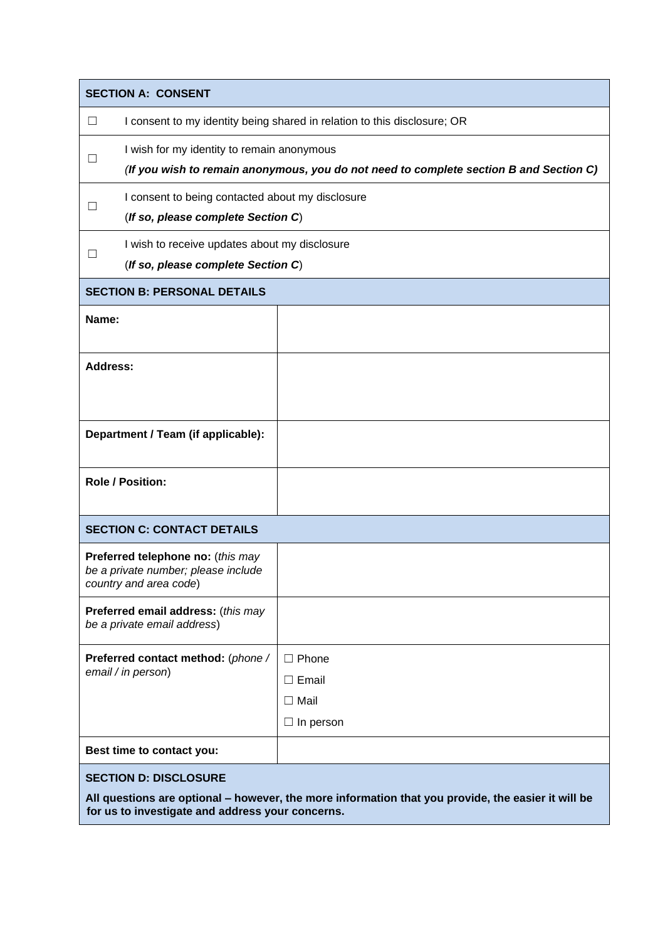| <b>SECTION A: CONSENT</b>                                                                                                          |                                                                                                                                      |                                                                 |  |
|------------------------------------------------------------------------------------------------------------------------------------|--------------------------------------------------------------------------------------------------------------------------------------|-----------------------------------------------------------------|--|
| ⊔                                                                                                                                  | I consent to my identity being shared in relation to this disclosure; OR                                                             |                                                                 |  |
|                                                                                                                                    | I wish for my identity to remain anonymous<br>(If you wish to remain anonymous, you do not need to complete section B and Section C) |                                                                 |  |
|                                                                                                                                    | I consent to being contacted about my disclosure<br>(If so, please complete Section C)                                               |                                                                 |  |
| $\mathbf{L}$                                                                                                                       | I wish to receive updates about my disclosure<br>(If so, please complete Section C)                                                  |                                                                 |  |
|                                                                                                                                    | <b>SECTION B: PERSONAL DETAILS</b>                                                                                                   |                                                                 |  |
| Name:                                                                                                                              |                                                                                                                                      |                                                                 |  |
| Address:                                                                                                                           |                                                                                                                                      |                                                                 |  |
| Department / Team (if applicable):                                                                                                 |                                                                                                                                      |                                                                 |  |
| <b>Role / Position:</b>                                                                                                            |                                                                                                                                      |                                                                 |  |
| <b>SECTION C: CONTACT DETAILS</b>                                                                                                  |                                                                                                                                      |                                                                 |  |
| Preferred telephone no: (this may<br>be a private number; please include<br>country and area code)                                 |                                                                                                                                      |                                                                 |  |
| Preferred email address: (this may<br>be a private email address)                                                                  |                                                                                                                                      |                                                                 |  |
|                                                                                                                                    | Preferred contact method: (phone /<br>email / in person)                                                                             | $\Box$ Phone<br>$\Box$ Email<br>$\Box$ Mail<br>$\Box$ In person |  |
|                                                                                                                                    | Best time to contact you:                                                                                                            |                                                                 |  |
| <b>SECTION D: DISCLOSURE</b><br>All questions are optional - however, the more information that you provide, the easier it will be |                                                                                                                                      |                                                                 |  |

**for us to investigate and address your concerns.**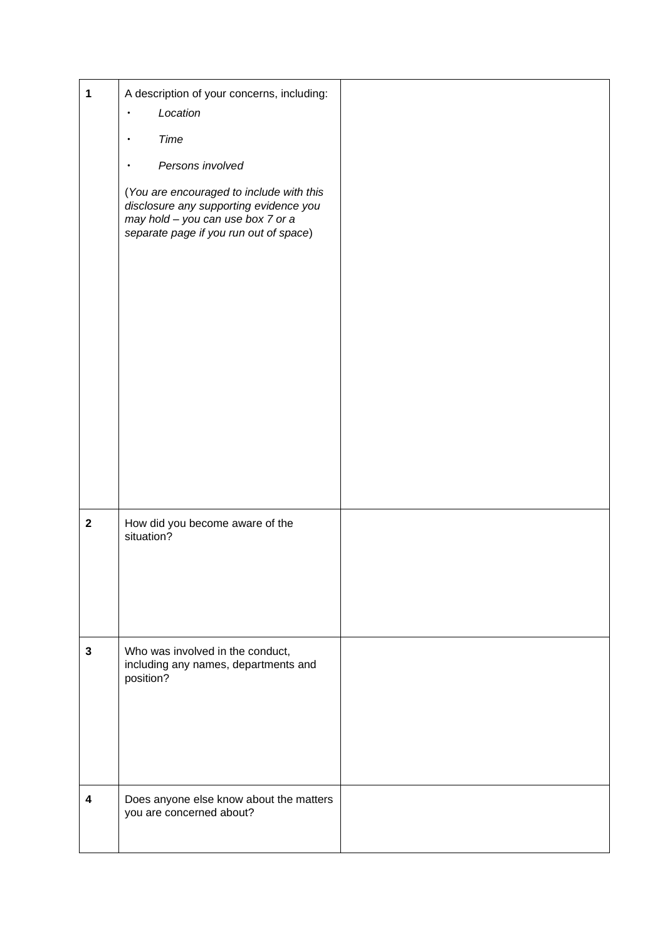| $\mathbf 1$             | A description of your concerns, including:<br>Location                                                                                                            |  |
|-------------------------|-------------------------------------------------------------------------------------------------------------------------------------------------------------------|--|
|                         | Time                                                                                                                                                              |  |
|                         | Persons involved                                                                                                                                                  |  |
|                         | (You are encouraged to include with this<br>disclosure any supporting evidence you<br>may hold - you can use box 7 or a<br>separate page if you run out of space) |  |
|                         |                                                                                                                                                                   |  |
| $\mathbf{2}$            | How did you become aware of the<br>situation?                                                                                                                     |  |
| $\mathbf{3}$            | Who was involved in the conduct,<br>including any names, departments and<br>position?                                                                             |  |
| $\overline{\mathbf{4}}$ | Does anyone else know about the matters<br>you are concerned about?                                                                                               |  |